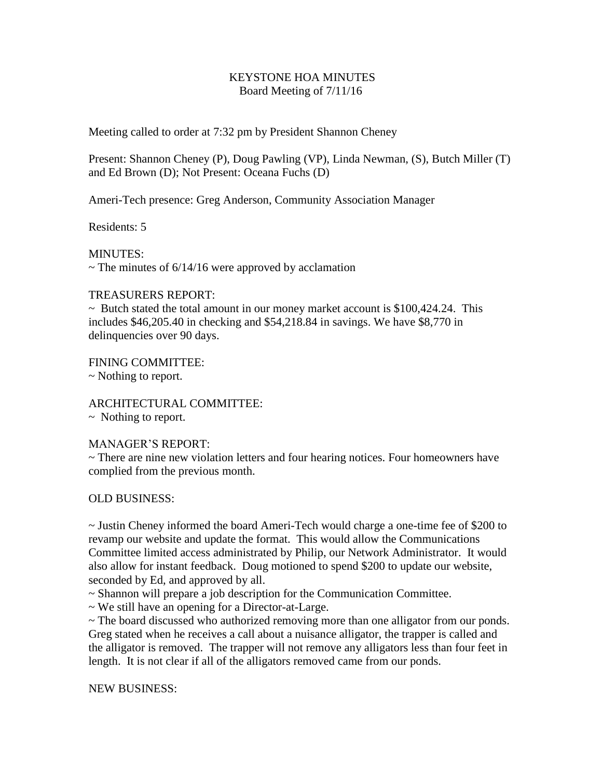## KEYSTONE HOA MINUTES Board Meeting of 7/11/16

Meeting called to order at 7:32 pm by President Shannon Cheney

Present: Shannon Cheney (P), Doug Pawling (VP), Linda Newman, (S), Butch Miller (T) and Ed Brown (D); Not Present: Oceana Fuchs (D)

Ameri-Tech presence: Greg Anderson, Community Association Manager

Residents: 5

MINUTES:  $\sim$  The minutes of 6/14/16 were approved by acclamation

## TREASURERS REPORT:

 $\sim$  Butch stated the total amount in our money market account is \$100,424.24. This includes \$46,205.40 in checking and \$54,218.84 in savings. We have \$8,770 in delinquencies over 90 days.

FINING COMMITTEE: ~ Nothing to report.

ARCHITECTURAL COMMITTEE: ~ Nothing to report.

## MANAGER'S REPORT:

~ There are nine new violation letters and four hearing notices. Four homeowners have complied from the previous month.

## OLD BUSINESS:

~ Justin Cheney informed the board Ameri-Tech would charge a one-time fee of \$200 to revamp our website and update the format. This would allow the Communications Committee limited access administrated by Philip, our Network Administrator. It would also allow for instant feedback. Doug motioned to spend \$200 to update our website, seconded by Ed, and approved by all.

~ Shannon will prepare a job description for the Communication Committee.

~ We still have an opening for a Director-at-Large.

 $\sim$  The board discussed who authorized removing more than one alligator from our ponds. Greg stated when he receives a call about a nuisance alligator, the trapper is called and the alligator is removed. The trapper will not remove any alligators less than four feet in length. It is not clear if all of the alligators removed came from our ponds.

NEW BUSINESS: